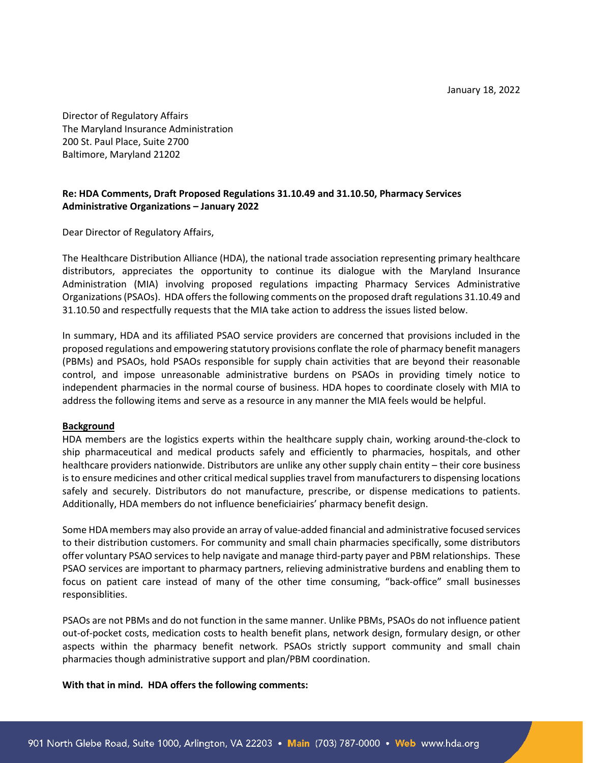Director of Regulatory Affairs The Maryland Insurance Administration 200 St. Paul Place, Suite 2700 Baltimore, Maryland 21202

## **Re: HDA Comments, Draft Proposed Regulations 31.10.49 and 31.10.50, Pharmacy Services Administrative Organizations – January 2022**

Dear Director of Regulatory Affairs,

The Healthcare Distribution Alliance (HDA), the national trade association representing primary healthcare distributors, appreciates the opportunity to continue its dialogue with the Maryland Insurance Administration (MIA) involving proposed regulations impacting Pharmacy Services Administrative Organizations (PSAOs). HDA offers the following comments on the proposed draft regulations 31.10.49 and 31.10.50 and respectfully requests that the MIA take action to address the issues listed below.

In summary, HDA and its affiliated PSAO service providers are concerned that provisions included in the proposed regulations and empowering statutory provisions conflate the role of pharmacy benefit managers (PBMs) and PSAOs, hold PSAOs responsible for supply chain activities that are beyond their reasonable control, and impose unreasonable administrative burdens on PSAOs in providing timely notice to independent pharmacies in the normal course of business. HDA hopes to coordinate closely with MIA to address the following items and serve as a resource in any manner the MIA feels would be helpful.

## **Background**

HDA members are the logistics experts within the healthcare supply chain, working around-the-clock to ship pharmaceutical and medical products safely and efficiently to pharmacies, hospitals, and other healthcare providers nationwide. Distributors are unlike any other supply chain entity – their core business is to ensure medicines and other critical medical supplies travel from manufacturers to dispensing locations safely and securely. Distributors do not manufacture, prescribe, or dispense medications to patients. Additionally, HDA members do not influence beneficiairies' pharmacy benefit design.

Some HDA members may also provide an array of value-added financial and administrative focused services to their distribution customers. For community and small chain pharmacies specifically, some distributors offer voluntary PSAO services to help navigate and manage third-party payer and PBM relationships. These PSAO services are important to pharmacy partners, relieving administrative burdens and enabling them to focus on patient care instead of many of the other time consuming, "back-office" small businesses responsiblities.

PSAOs are not PBMs and do not function in the same manner. Unlike PBMs, PSAOs do not influence patient out-of-pocket costs, medication costs to health benefit plans, network design, formulary design, or other aspects within the pharmacy benefit network. PSAOs strictly support community and small chain pharmacies though administrative support and plan/PBM coordination.

**With that in mind. HDA offers the following comments:**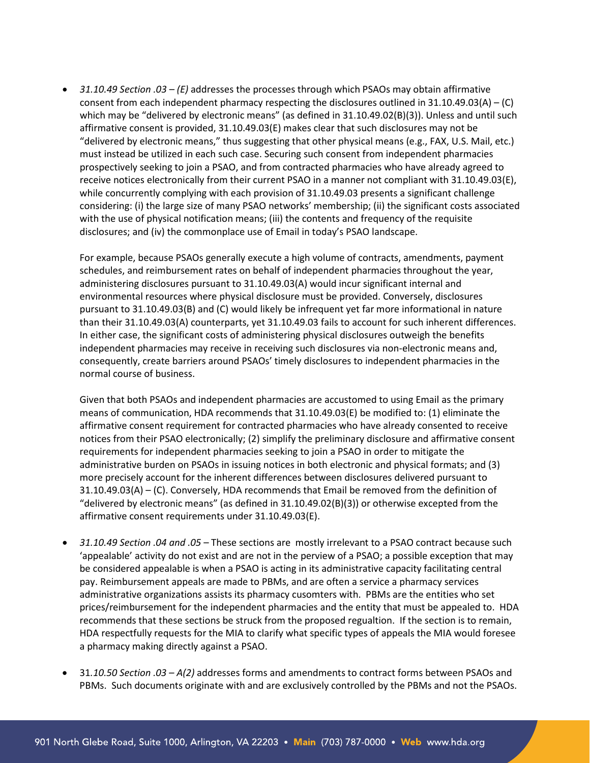• *31.10.49 Section .03 – (E)* addresses the processes through which PSAOs may obtain affirmative consent from each independent pharmacy respecting the disclosures outlined in  $31.10.49.03(A) - (C)$ which may be "delivered by electronic means" (as defined in 31.10.49.02(B)(3)). Unless and until such affirmative consent is provided, 31.10.49.03(E) makes clear that such disclosures may not be "delivered by electronic means," thus suggesting that other physical means (e.g., FAX, U.S. Mail, etc.) must instead be utilized in each such case. Securing such consent from independent pharmacies prospectively seeking to join a PSAO, and from contracted pharmacies who have already agreed to receive notices electronically from their current PSAO in a manner not compliant with 31.10.49.03(E), while concurrently complying with each provision of 31.10.49.03 presents a significant challenge considering: (i) the large size of many PSAO networks' membership; (ii) the significant costs associated with the use of physical notification means; (iii) the contents and frequency of the requisite disclosures; and (iv) the commonplace use of Email in today's PSAO landscape.

For example, because PSAOs generally execute a high volume of contracts, amendments, payment schedules, and reimbursement rates on behalf of independent pharmacies throughout the year, administering disclosures pursuant to 31.10.49.03(A) would incur significant internal and environmental resources where physical disclosure must be provided. Conversely, disclosures pursuant to 31.10.49.03(B) and (C) would likely be infrequent yet far more informational in nature than their 31.10.49.03(A) counterparts, yet 31.10.49.03 fails to account for such inherent differences. In either case, the significant costs of administering physical disclosures outweigh the benefits independent pharmacies may receive in receiving such disclosures via non-electronic means and, consequently, create barriers around PSAOs' timely disclosures to independent pharmacies in the normal course of business.

Given that both PSAOs and independent pharmacies are accustomed to using Email as the primary means of communication, HDA recommends that 31.10.49.03(E) be modified to: (1) eliminate the affirmative consent requirement for contracted pharmacies who have already consented to receive notices from their PSAO electronically; (2) simplify the preliminary disclosure and affirmative consent requirements for independent pharmacies seeking to join a PSAO in order to mitigate the administrative burden on PSAOs in issuing notices in both electronic and physical formats; and (3) more precisely account for the inherent differences between disclosures delivered pursuant to 31.10.49.03(A) – (C). Conversely, HDA recommends that Email be removed from the definition of "delivered by electronic means" (as defined in 31.10.49.02(B)(3)) or otherwise excepted from the affirmative consent requirements under 31.10.49.03(E).

- *31.10.49 Section .04 and .05* These sections are mostly irrelevant to a PSAO contract because such 'appealable' activity do not exist and are not in the perview of a PSAO; a possible exception that may be considered appealable is when a PSAO is acting in its administrative capacity facilitating central pay. Reimbursement appeals are made to PBMs, and are often a service a pharmacy services administrative organizations assists its pharmacy cusomters with. PBMs are the entities who set prices/reimbursement for the independent pharmacies and the entity that must be appealed to. HDA recommends that these sections be struck from the proposed regualtion. If the section is to remain, HDA respectfully requests for the MIA to clarify what specific types of appeals the MIA would foresee a pharmacy making directly against a PSAO.
- 31*.10.50 Section .03 – A(2)* addresses forms and amendments to contract forms between PSAOs and PBMs. Such documents originate with and are exclusively controlled by the PBMs and not the PSAOs.